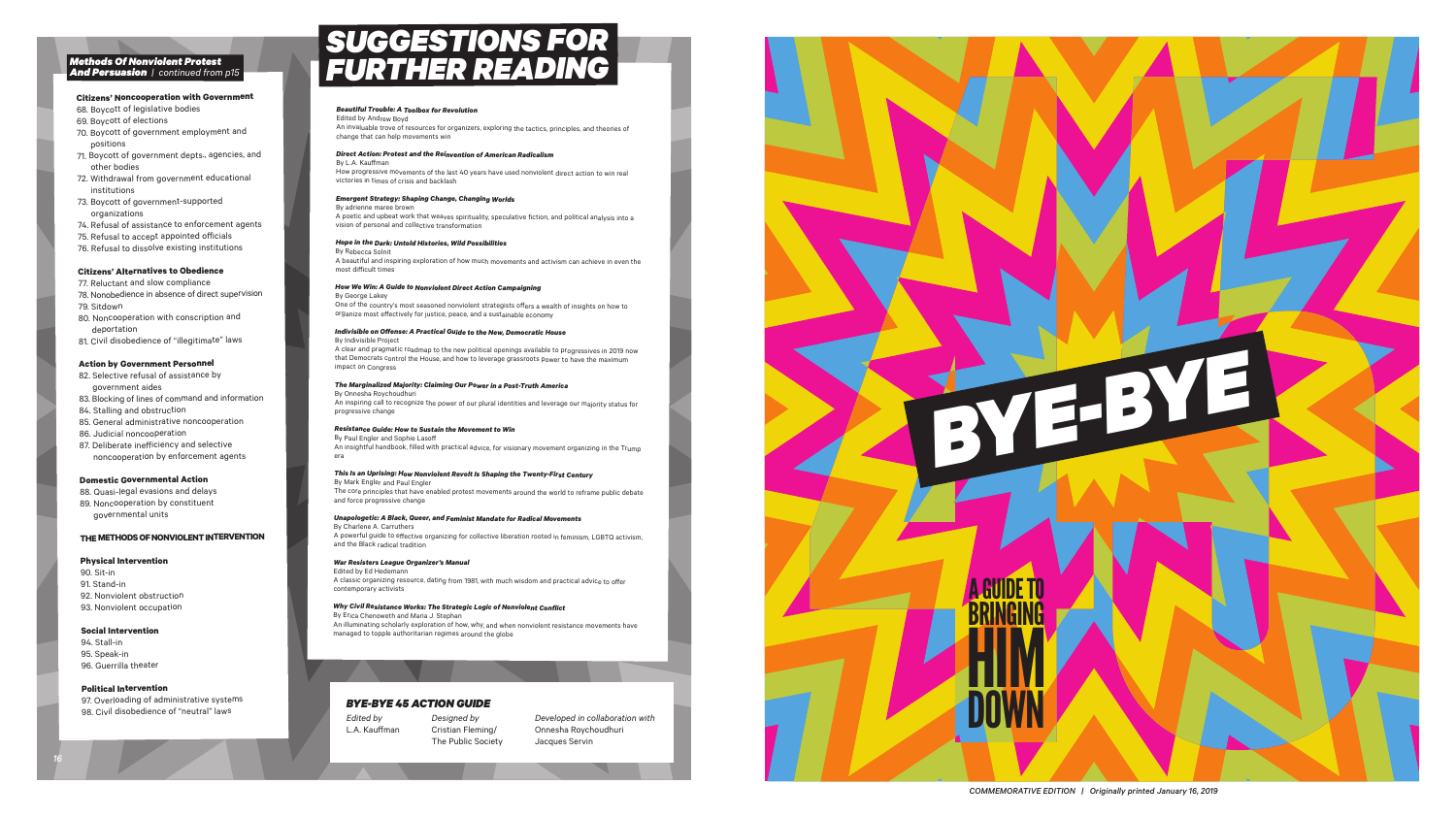# A GUIDE TO BRINGING HIM

# DOWN *BYE-BYE*



### **Citizens' Noncooperation with Go vernment**

- 68. Boycott of legislative bodie s
- 69. Boycott of elections
- 70. Boycott of government employment and positions
- 71. Boycott of government depts., agencies, and other bodie s
- 72. Withdrawal from government educational institutions
- 73. Boycott of government-supported organization s
- 74. Refusal of assistance to enforcement agent s
- 75. Refusal to accept appointed o ficials
- 76. Refusal to dissolve existing institution s

### **Citizens' Alternatives to Obedience**

- 77. Reluctant and slow complianc e
- 78. Nonobedience in absence of direct supervisio n 79. Sitdow n
- 80. Noncooperation with conscription and deportation
- 81. Civil disobedience of "illegitimate" law s

### **Action by Government Personnel**

- 82. Selective refusal of assistance by government aide s
- 83. Blocking of lines of command and information
- 84. Stalling and obstruction
- 85. General administrative noncooperation
- 86. Judicial noncooperation
- 87. Deliberate ine ficiency and selective noncooperation by enforcement agent s

How progressive movements of the last 40 years have used nonviolent direct action to win real victories in times of crisis and backlash

### **Domestic Go vernmental Action**

- 88. Quasi-legal evasions and delay s 89. Noncooperation by constituent
- governmental unit s

### **THE METHODS OF NONVIOLENT INTERVENTION**

### **Physical Interventio n**

90. Sit-in 91. Stand-in 92. Nonviolent obstructio n 93. Nonviolent occupatio n

### **Social Interventio n**

94. Stall-in 95. Speak-in 96. Guerrilla theate r

### **Political Intervention**

97. Overloading of administrative system s 98. Civil disobedience of "neutral" law s

### *Methods Of Nonviolent Protes t And Persuasion | continued from p15*

# *SUGGESTIONS FOR FURTHER READING*

### *Beautiful Trouble: A Toolbox for Revolution*

Edited by Andrew Boyd

An invaluable tr ove of resources for organizers, exploring the tactics, principles, and theories of change that can help movements wi n

### *Direct Action: Protest and the Reinvention of American Radicalism*

A powerful guide to e fective organizi ng for co llective liberation rooted in feminism, LGBTQ activism, and the Black radical tradition

By L.A. Ka u fman

### *Emergent Strategy: Shaping Change, Changing Worlds*

By adrienne maree brown A poetic and upbeat work that weaves spir ituality, speculative fiction, and po litical analysis into a vision of personal and co llective transformation

### *Hope in the Dark: Untold Histories, Wild Possibilitie s*

By Rebecca Solnit A beautiful and inspiring exploration of how much moveme nts and activism can achieve in even the most di ficult times

### *How We Win: A Guide to Nonviolent Direct Action Campaignin g*

By George Lakey One of the country's most seasoned nonviolent strategists o fers a wealth of insights on how to organize most e fectively for justice, peace, and a sustainable econom y

### *Indivisible on O fense: A Practical Guide to the New, Democratic Hous e*

By Indivisible Project

A clear and pr agmatic roadmap to the new political open i ngs available to progressives in 2019 now that Democrats co ntrol the House, and how to leverage grassroots power to have the maximum impact on Congress

### *The Marginalized Majority: Claiming Our Power in a Post-Truth Americ a*

By Onnesh a Roychoudhur i

An inspiring c all to re cognize the power of our plural identities and leverage our majority status for progressive change

### *Resistance Guide: How to Sustain the Movement to Win*

By Paul Engler and Sophie L aso f An insightful handbook, filled with practical advice, for visio nary movement organ izing in the Trump era

### *This Is an Uprising: How Nonviolent Revolt Is Shaping the Twenty-First Century*

By Mark Engler and Paul Engler

The core principles that have enabled protest movements around the world to reframe public debate and force progressive change

### *Unapologetic: A Black, Queer, and Feminist Mandate for Radical Movements*

By Charlene A. Carruther s

### *War Resisters League Organizer's Manua l*

Edited by Ed Hedemann

A cl assic organizing resource, dating from 1981, with much wisdom and practical advice to o fer contemporary activist s

### *Why Civil Resistance Works: The Strategic Logic of Nonviolent Conflict*

By Erica Chenoweth and Mar i <sup>a</sup> J. Stepha n

An illuminating scholarly exploration of how, why, and when nonviolent resist ance movements have ma naged to topple authoritarian regimes around the glob e

*Edited by* L.A. Kau fman *Designed by*  Cristian Fleming/ The Public Society

*Developed in collaboration with* Onnesha Roychoudhuri Jacques Servin

### *BYE-BYE 45 ACTION GUIDE*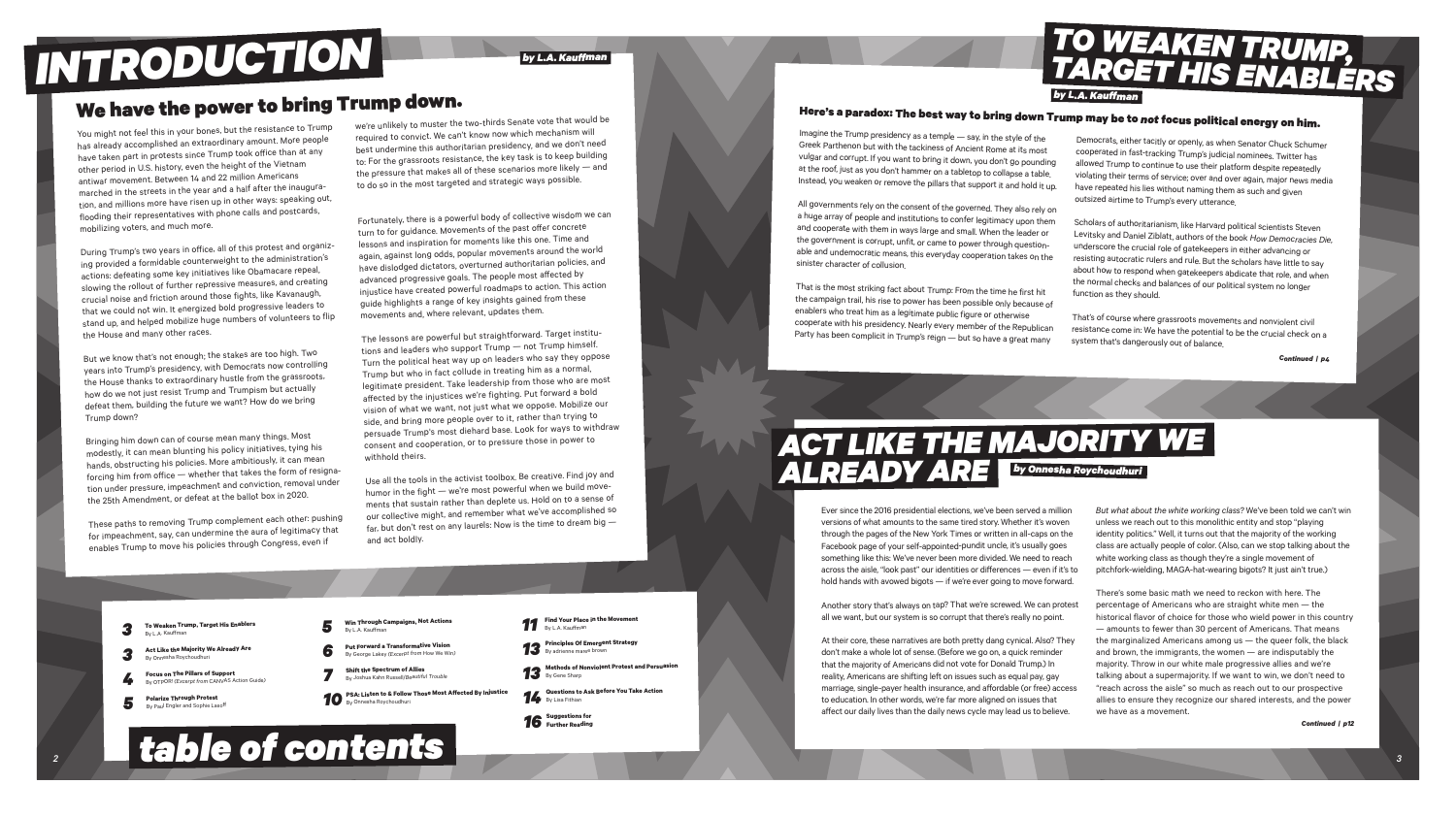# *INTRODUCTION*

# We have the power to bring Trump down.

You might not feel this in your bones, but the resistance to Trump has already accomplished an extraordinary amount. More people have taken part in protests since Trump took ofice than at any other period in U.S. history, even the height of the Vietnam antiwar movement. Between 14 and 22 million Americans marched in the streets in the year and a half after the inauguration, and millions more have risen up in other ways: speaking out, flooding their representatives with phone calls and postcards, mobilizing voters, and much more.

During Trump's two years in ofice, all of this protest and organizing provided a formidable counterweight to the administration's actions: defeating some key initiatives like Obamacare repeal, slowing the rollout of further repressive measures, and creating crucial noise and friction around those fights, like Kavanaugh, that we could not win. It energized bold progressive leaders to stand up, and helped mobilize huge numbers of volunteers to flip the House and many other races.

But we know that's not enough; the stakes are too high. Two years into Trump's presidency, with Democrats now controlling the House thanks to extraordinary hustle from the grassroots, how do we not just resist Trump and Trumpism but actually defeat them, building the future we want? How do we bring Trump down?

Bringing him down can of course mean many things. Most modestly, it can mean blunting his policy initiatives, tying his hands, obstructing his policies. More ambitiously, it can mean forcing him from ofice — whether that takes the form of resignation under pressure, impeachment and conviction, removal under the 25th Amendment, or defeat at the ballot box in 2020.

These paths to removing Trump complement each other: pushing for impeachment, say, can undermine the aura of legitimacy that enables Trump to move his policies through Congress, even if

we're unlikely to muster the two-thirds Senate vote that would be required to convict. We can't know now which mechanism will best undermine this authoritarian presidency, and we don't need to: For the grassroots resistance, the key task is to keep building the pressure that makes all of these scenarios more likely  $-$  and to do so in the most targeted and strategic ways possible.

Fortunately, there is a powerful body of collective wisdom we can turn to for guidance. Movements of the past offer concrete lessons and inspiration for moments like this one. Time and again, against long odds, popular movements around the world have dislodged dictators, overturned authoritarian policies, an<sup>d</sup> advanced progressive goals. The people most a<sup>f</sup>ected by injustice have created powerful roadmaps to action. This action guide highlights a range of key insights gained from these movements and, where relevant, updates them.

The lessons are powerful but straightforward. Target institutions and leaders who support Trump — not Trump himself. Turn the political heat way up on leaders who say they oppose Trump but who in fact collude in treating him as a normal, legitimate president. Take leadership from those who are most a<sup>f</sup>ected by the injustices we're fighting. Put forward a bold vision of what we want, not just what we oppose. Mobilize our side, and bring more people over to it, rather than trying to persuade Trump's most diehard base. Look for ways to withdraw consent and cooperation, or to pressure those in power to withhold theirs.

Use all the tools in the activist toolbox. Be creative. Find joy and humor in the fight — we're most powerful when we build movements that sustain rather than deplete us. Hold on to a sense o<sup>f</sup> our collective might, and remember what we've accomplished so far, but don't rest on any laurels: Now is the time to dream big and act boldly.

### *by L.A. Kaufman*

## Here's a paradox: The best way to bring down Trump may be to *not* focus political energy on him.

Imagine the Trump presidency as a temple — say, in the style of the Greek Parthenon but with the tackiness of Ancient Rome at its most vulgar and corrupt. If you want to bring it down, you don't go pounding at the roof, just as you don't hammer on a tabletop to collapse a table. Instead, you weaken or remove the pillars that support it and hold it up.



All governments rely on the consent of the governed. They also rely on a huge array of people and institutions to confer legitimacy upon them and cooperate with them in ways large and small. When the leader or the government is corrupt, unfit, or came to power through questionable and undemocratic means, this everyday cooperation takes on the sinister character of collusion.

That is the most striking fact about Trump: From the time he first hit the campaign trail, his rise to power has been possible only because of enablers who treat him as a legitimate public figure or otherwise cooperate with his presidency. Nearly every member of the Republican Party has been complicit in Trump's reign — but so have a great many

Democrats, either tacitly or openly, as when Senator Chuck Schumer cooperated in fast-tracking Trump's judicial nominees. Twitter has allowed Trump to continue to use their platform despite repeatedly violating their terms of service; over and over again, major news media have repeated his lies without naming them as such and given outsized airtime to Trump's every utterance.

Scholars of authoritarianism, like Harvard political scientists Steven Levitsky and Daniel Ziblatt, authors of the book *How Democracies Die*, underscore the crucial role of gatekeepers in either advancing or resisting autocratic rulers and rule. But the scholars have little to say about how to respond when gatekeepers abdicate that role, and when the normal checks and balances of our political system no longer function as they should.

That's of course where grassroots movements and nonviolent civil resistance come in: We have the potential to be the crucial check on a system that's dangerously out of balance.

*Continued | p4*



Ever since the 2016 presidential elections, we've been served a million versions of what amounts to the same tired story. Whether it's woven through the pages of the New York Times or written in all-caps on the Facebook page of your self-appointed-pundit uncle, it's usually goes something like this: We've never been more divided. We need to reach across the aisle, "look past" our identities or diferences — even if it's to hold hands with avowed bigots — if we're ever going to move forward.



Another story that's always on tap? That we're screwed. We can protest all we want, but our system is so corrupt that there's really no point.

At their core, these narratives are both pretty dang cynical. Also? They don't make a whole lot of sense. (Before we go on, a quick reminder that the majority of Americans did not vote for Donald Trump.) In reality, Americans are shifting left on issues such as equal pay, gay marriage, single-payer health insurance, and affordable (or free) access to education. In other words, we're far more aligned on issues that <sup>a</sup>fect our daily lives than the daily news cycle may lead us to believe.

*But what about the white working class?* We've been told we can't win unless we reach out to this monolithic entity and stop "playing identity politics." Well, it turns out that the majority of the working class are actually people of color. (Also, can we stop talking about the white working class as though they're a single movement of pitchfork-wielding, MAGA-hat-wearing bigots? It just ain't true.)

There's some basic math we need to reckon with here. The percentage of Americans who are straight white men — the historical flavor of choice for those who wield power in this country — amounts to fewer than 30 percent of Americans. That means the marginalized Americans among us — the queer folk, the black and brown, the immigrants, the women — are indisputably the majority. Throw in our white male progressive allies and we're talking about a supermajority. If we want to win, we don't need to "reach across the aisle" so much as reach out to our prospective allies to ensure they recognize our shared interests, and the power we have as a movement.

*Continued | p12*

**To Weaken Trump, Target His Enablers** By L.A. Kaufman *3*

- **Act Like the Majority We Already Are**  By Onnesha Roychoudhuri *3*
- **Focus on The Pillars of Support** By OTPOR! *(Excerpt from* CANVAS Action Guide*) 4*
- **Polarize Through Protest** By Paul Engler and Sophie Laso<sup>f</sup> *5*



- **Put Forward a Transformative Vision** By George Lakey *(Excerpt from* How We Win*) 6*
- **Shift the Spectrum of Allies** By Joshua Kahn Russell/*Beautiful Trouble 7*
- **PSA: Listen to & Follow Those Most Afected By Injustice** By Onnesha Roychoudhuri *10*
- **Find Your Place in the Movement 11** Find Your Plac<br>By L.A. Kauffman
- **Principles Of Emergent Strategy** By adrienne maree brow *13*
- **Methods of Nonviolent Protest and Persuasion** By Gene Sharp *13*
- **Questions to Ask Before You Take Action** By Lisa Fithian *14*
- **Suggestions for Further Reading** *16*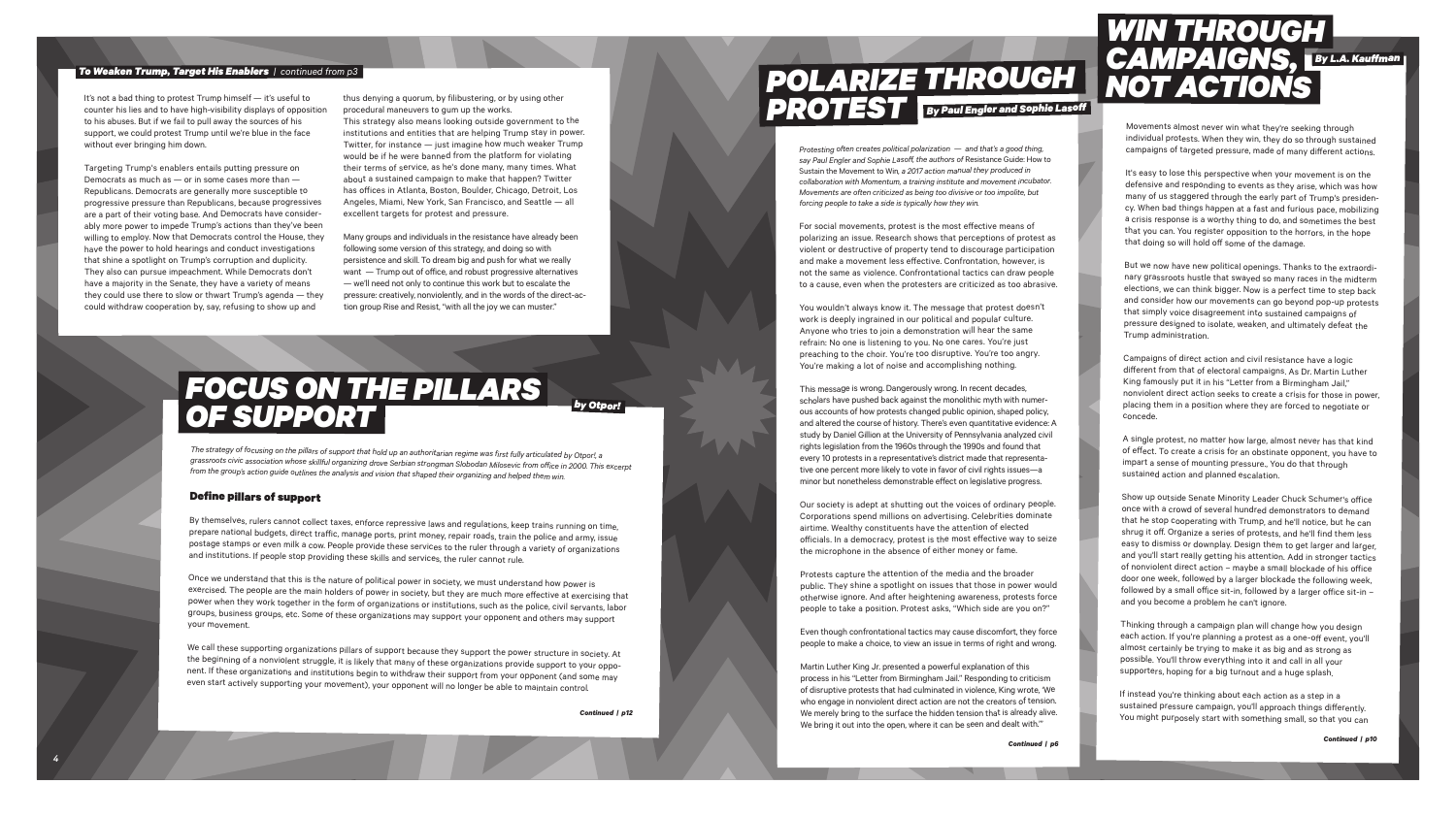# *FOCUS ON THE PILLARS OF SUPPORT*

*The strategy of focusing on the pillars of support that hold up an authoritarian regime was first fully articulated by Otpor!, a grassroots civic association whose skillful organizing drove Serbian strongman Slobodan Milosevic from o<sup>f</sup>ice in 2000. This excerpt from the group's action guide outlines the analysis and vision that shaped their organizing and helped them win.*

### Define pillars of support

By themselves, rulers cannot collect taxes, enforce repressive laws and regulations, keep trains running on time, prepare national budgets, direct tra<sup>f</sup>ic, manage ports, print money, repair roads, train the police and army, issue postage stamps or even milk a cow. People provide these services to the ruler through a variety of organizations and institutions. If people stop providing these skills and services, the ruler cannot rule.

Once we understand that this is the nature of political power in society, we must understand how power is exercised. The people are the main holders of power in society, but they are much more e<sup>f</sup>ective at exercising that power when they work together in the form of organizations or institutions, such as the police, civil servants, labor groups, business groups, etc. Some of these organizations may support your opponent and others may support your movement.

We call these supporting organizations pillars of support because they support the power structure in society. At the beginning of a nonviolent struggle, it is likely that many of these organizations provide support to your opponent. If these organizations and institutions begin to withdraw their support from your opponent (and some may even start actively supporting your movement), your opponent will no longer be able to maintain control.

*Continued | p12*

*by Otpor!*

It's not a bad thing to protest Trump himself — it's useful to counter his lies and to have high-visibility displays of opposition to his abuses. But if we fail to pull away the sources of his support, we could protest Trump until we're blue in the face without ever bringing him down.

Targeting Trump's enablers entails putting pressure on Democrats as much as — or in some cases more than — Republicans. Democrats are generally more susceptible to progressive pressure than Republicans, because progressives are a part of their voting base. And Democrats have considerably more power to impede Trump's actions than they've been willing to employ. Now that Democrats control the House, they have the power to hold hearings and conduct investigations that shine a spotlight on Trump's corruption and duplicity. They also can pursue impeachment. While Democrats don't have a majority in the Senate, they have a variety of means they could use there to slow or thwart Trump's agenda — they could withdraw cooperation by, say, refusing to show up and

> This message is wrong. Dangerously wrong. In recent decades, scholars have pushed back against the monolithic myth with numerous accounts of how protests changed public opinion, shaped policy, and altered the course of history. There's even quantitative evidence: A study by Daniel Gillion at the University of Pennsylvania analyzed civil rights legislation from the 1960s through the 1990s and found that every 10 protests in a representative's district made that representative one percent more likely to vote in favor of civil rights issues—a minor but nonetheless demonstrable effect on legislative progress.

thus denying a quorum, by filibustering, or by using other procedural maneuvers to gum up the works. This strategy also means looking outside government to the institutions and entities that are helping Trump stay in power. Twitter, for instance — just imagine how much weaker Trump would be if he were banned from the platform for violating their terms of service, as he's done many, many times. What about a sustained campaign to make that happen? Twitter has ofices in Atlanta, Boston, Boulder, Chicago, Detroit, Los Angeles, Miami, New York, San Francisco, and Seattle — all excellent targets for protest and pressure.

> Martin Luther King Jr. presented a powerful explanation of this process in his "Letter from Birmingham Jail." Responding to criticism of disruptive protests that had culminated in violence, King wrote, 'We who engage in nonviolent direct action are not the creators of tension. We merely bring to the surface the hidden tension that is already alive. We bring it out into the open, where it can be seen and dealt with."

It's easy to lose this perspective when your movement is on the defensive and responding to events as they arise, which was how many of us staggered through the early part of Trump's presidency. When bad things happen at a fast and furious pace, mobilizing a crisis response is a worthy thing to do, and sometimes the best that you can. You register opposition to the horrors, in the hope that doing so will hold off some of the damage.

Many groups and individuals in the resistance have already been following some version of this strategy, and doing so with persistence and skill. To dream big and push for what we really want – Trump out of office, and robust progressive alternatives — we'll need not only to continue this work but to escalate the pressure: creatively, nonviolently, and in the words of the direct-action group Rise and Resist, "with all the joy we can muster."

### *To Weaken Trump, Target His Enablers | continued from p3*

*Protesting often creates political polarization — and that's a good thing, say Paul Engler and Sophie Lasof, the authors of* Resistance Guide: How to Sustain the Movement to Win*, a 2017 action manual they produced in collaboration with Momentum, a training institute and movement incubator. Movements are often criticized as being too divisive or too impolite, but forcing people to take a side is typically how they win.* 

For social movements, protest is the most efective means of polarizing an issue. Research shows that perceptions of protest as violent or destructive of property tend to discourage participation and make a movement less efective. Confrontation, however, is not the same as violence. Confrontational tactics can draw people to a cause, even when the protesters are criticized as too abrasive.

You wouldn't always know it. The message that protest doesn't work is deeply ingrained in our political and popular culture. Anyone who tries to join a demonstration will hear the same refrain: No one is listening to you. No one cares. You're just preaching to the choir. You're too disruptive. You're too angry. You're making a lot of noise and accomplishing nothing.



Our society is adept at shutting out the voices of ordinary people. Corporations spend millions on advertising. Celebrities dominate airtime. Wealthy constituents have the attention of elected <sup>o</sup>ficials. In a democracy, protest is the most efective way to seize the microphone in the absence of either money or fame.

Protests capture the attention of the media and the broader public. They shine a spotlight on issues that those in power would otherwise ignore. And after heightening awareness, protests force people to take a position. Protest asks, "Which side are you on?"

Even though confrontational tactics may cause discomfort, they force people to make a choice, to view an issue in terms of right and wrong.

*WIN THROUGH*

*CAMPAIGNS,*

*NOT ACTIONS*

Movements almost never win what they're seeking through individual protests. When they win, they do so through sustained campaigns of targeted pressure, made of many di<sup>f</sup>erent actions.

But we now have new political openings. Thanks to the extraordinary grassroots hustle that swayed so many races in the midterm elections, we can think bigger. Now is a perfect time to step back and consider how our movements can go beyond pop-up protests that simply voice disagreement into sustained campaigns of pressure designed to isolate, weaken, and ultimately defeat the Trump administration.

Campaigns of direct action and civil resistance have a logic di<sup>f</sup>erent from that of electoral campaigns. As Dr. Martin Luther King famously put it in his "Letter from a Birmingham Jail," nonviolent direct action seeks to create a crisis for those in power, placing them in a position where they are forced to negotiate or concede.

A single protest, no matter how large, almost never has that kind of e<sup>f</sup>ect. To create a crisis for an obstinate opponent, you have to impart a sense of mounting pressure., You do that through sustained action and planned escalation.

Show up outside Senate Minority Leader Chuck Schumer's o<sup>f</sup>ice once with a crowd of several hundred demonstrators to demand that he stop cooperating with Trump, and he'll notice, but he can shrug it off. Organize a series of protests, and he'll find them less easy to dismiss or downplay. Design them to get larger and larger, and you'll start really getting his attention. Add in stronger tactics of nonviolent direct action – maybe a small blockade of his o<sup>f</sup>ice door one week, followed by a larger blockade the following week, followed by a small ofice sit-in, followed by a larger ofice sit-in – and you become a problem he can't ignore.

Thinking through a campaign plan will change how you design each action. If you're planning a protest as a one-off event, you'll almost certainly be trying to make it as big and as strong as possible. You'll throw everything into it and call in all your supporters, hoping for a big turnout and a huge splash.

If instead you're thinking about each action as a step in a sustained pressure campaign, you'll approach things di<sup>f</sup>erently. You might purposely start with something small, so that you can

*By L.A. Kaufman*

*Continued | p10*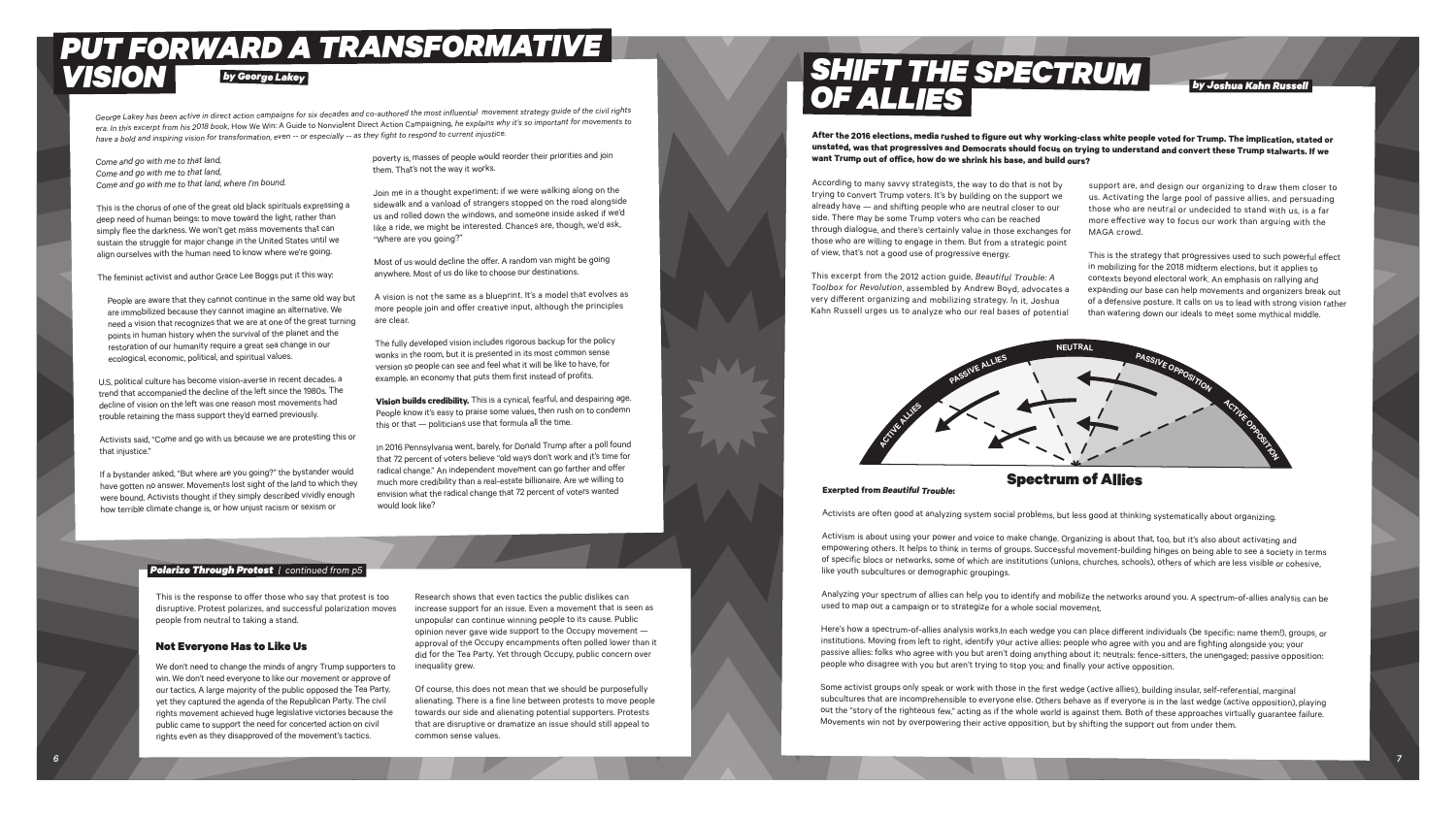This is the response to offer those who say that protest is too disruptive. Protest polarizes, and successful polarization moves people from neutral to taking a stand.

### Not Everyone Has to Like Us

We don't need to change the minds of angry Trump supporters to win. We don't need everyone to like our movement or approve of our tactics. A large majority of the public opposed the Tea Party, yet they captured the agenda of the Republican Party. The civil rights movement achieved huge legislative victories because the public came to support the need for concerted action on civil rights even as they disapproved of the movement's tactics.

Research shows that even tactics the public dislikes can increase support for an issue. Even a movement that is seen as unpopular can continue winning people to its cause. Public opinion never gave wide support to the Occupy movement approval of the Occupy encampments often polled lower than it did for the Tea Party. Yet through Occupy, public concern over inequality grew.

Of course, this does not mean that we should be purposefully alienating. There is a fine line between protests to move people towards our side and alienating potential supporters. Protests that are disruptive or dramatize an issue should still appeal to common sense values.

### *Polarize Through Protest | continued from p5*

*George Lakey has been active in direct action campaigns for six decades and co-authored the most influential movement strategy guide of the civil rights era. In this excerpt from his 2018 book,* How We Win: A Guide to Nonviolent Direct Action Campaigning*, he explains why it's so important for movements to have a bold and inspiring vision for transformation, even -- or especially -- as they fight to respond to current injustice.*

*Come and go with me to that land, Come and go with me to that land, Come and go with me to that land, where I'm bound.*

> Most of us would decline the offer. A random van might be going anywhere. Most of us do like to choose our destinations.

This is the chorus of one of the great old black spirituals expressing a deep need of human beings: to move toward the light, rather than simply flee the darkness. We won't get mass movements that can sustain the struggle for major change in the United States until we align ourselves with the human need to know where we're going.

The feminist activist and author Grace Lee Boggs put it this way:

People are aware that they cannot continue in the same old way but are immobilized because they cannot imagine an alternative. We need a vision that recognizes that we are at one of the great turning points in human history when the survival of the planet and the restoration of our humanity require a great sea change in our ecological, economic, political, and spiritual values.

U.S. political culture has become vision-averse in recent decades, a trend that accompanied the decline of the left since the 1980s. The decline of vision on the left was one reason most movements had trouble retaining the mass support they'd earned previously.

Activists said, "Come and go with us because we are protesting this or that injustice."

If a bystander asked, "But where are you going?" the bystander would have gotten no answer. Movements lost sight of the land to which they were bound. Activists thought if they simply described vividly enough how terrible climate change is, or how unjust racism or sexism or

poverty is, masses of people would reorder their priorities and join them. That's not the way it works.

Join me in a thought experiment: if we were walking along on the sidewalk and a vanload of strangers stopped on the road alongside us and rolled down the windows, and someone inside asked if we'd like a ride, we might be interested. Chances are, though, we'd ask, "Where are you going?"

A vision is not the same as a blueprint. It's a model that evolves as more people join and offer creative input, although the principles are clear.

The fully developed vision includes rigorous backup for the policy wonks in the room, but it is presented in its most common sense version so people can see and feel what it will be like to have, for example, an economy that puts them first instead of profits.

**Vision builds credibility.** This is a cynical, fearful, and despairing age. People know it's easy to praise some values, then rush on to condemn this or that — politicians use that formula all the time.

In 2016 Pennsylvania went, barely, for Donald Trump after a poll found that 72 percent of voters believe "old ways don't work and it's time for radical change." An independent movement can go farther and o<sup>f</sup>er much more credibility than a real-estate billionaire. Are we willing to envision what the radical change that 72 percent of voters wanted would look like?

### *by George Lakey PUT FORWARD A TRANSFORMATIVE VISION*

According to many savvy strategists, the way to do that is not by trying to convert Trump voters. It's by building on the support we already have — and shifting people who are neutral closer to our side. There may be some Trump voters who can be reached through dialogue, and there's certainly value in those exchanges for those who are willing to engage in them. But from a strategic point of view, that's not a good use of progressive energy.

This excerpt from the 2012 action guide, *Beautiful Trouble: A Toolbox for Revolution*, assembled by Andrew Boyd, advocates a very diferent organizing and mobilizing strategy. In it, Joshua Kahn Russell urges us to analyze who our real bases of potential

### **Exerpted from** *Beautiful Trouble***:**

Activists are often good at analyzing system social problems, but less good at thinking systematically about organizing.

Activism is about using your power and voice to make change. Organizing is about that, too, but it's also about activating and empowering others. It helps to think in terms of groups. Successful movement-building hinges on being able to see a society in terms of specific blocs or networks, some of which are institutions (unions, churches, schools), others of which are less visible or cohesive, like youth subcultures or demographic groupings.

Analyzing your spectrum of allies can help you to identify and mobilize the networks around you. A spectrum-of-allies analysis can be used to map out a campaign or to strategize for a whole social movement.

Here's how a spectrum-of-allies analysis works.In each wedge you can place di<sup>f</sup>erent individuals (be specific: name them!), groups, or institutions. Moving from left to right, identify your active allies: people who agree with you and are fighting alongside you; your passive allies: folks who agree with you but aren't doing anything about it; neutrals: fence-sitters, the unengaged; passive opposition: people who disagree with you but aren't trying to stop you; and finally your active opposition.

Some activist groups only speak or work with those in the first wedge (active allies), building insular, self-referential, marginal subcultures that are incomprehensible to everyone else. Others behave as if everyone is in the last wedge (active opposition), playing out the "story of the righteous few," acting as if the whole world is against them. Both of these approaches virtually guarantee failure. Movements win not by overpowering their active opposition, but by shifting the support out from under them.

**After the 2016 elections, media rushed to figure out why working-class white people voted for Trump. The implication, stated or unstated, was that progressives and Democrats should focus on trying to understand and convert these Trump stalwarts. If we want Trump out of ofice, how do we shrink his base, and build ours?** 

> support are, and design our organizing to draw them closer to us. Activating the large pool of passive allies, and persuading those who are neutral or undecided to stand with us, is a far more e<sup>f</sup>ective way to focus our work than arguing with the MAGA crowd.

This is the strategy that progressives used to such powerful e<sup>f</sup>ect in mobilizing for the 2018 midterm elections, but it applies to contexts beyond electoral work. An emphasis on rallying and expanding our base can help movements and organizers break out of a defensive posture. It calls on us to lead with strong vision rather than watering down our ideals to meet some mythical middle.



### Spectrum of Allies

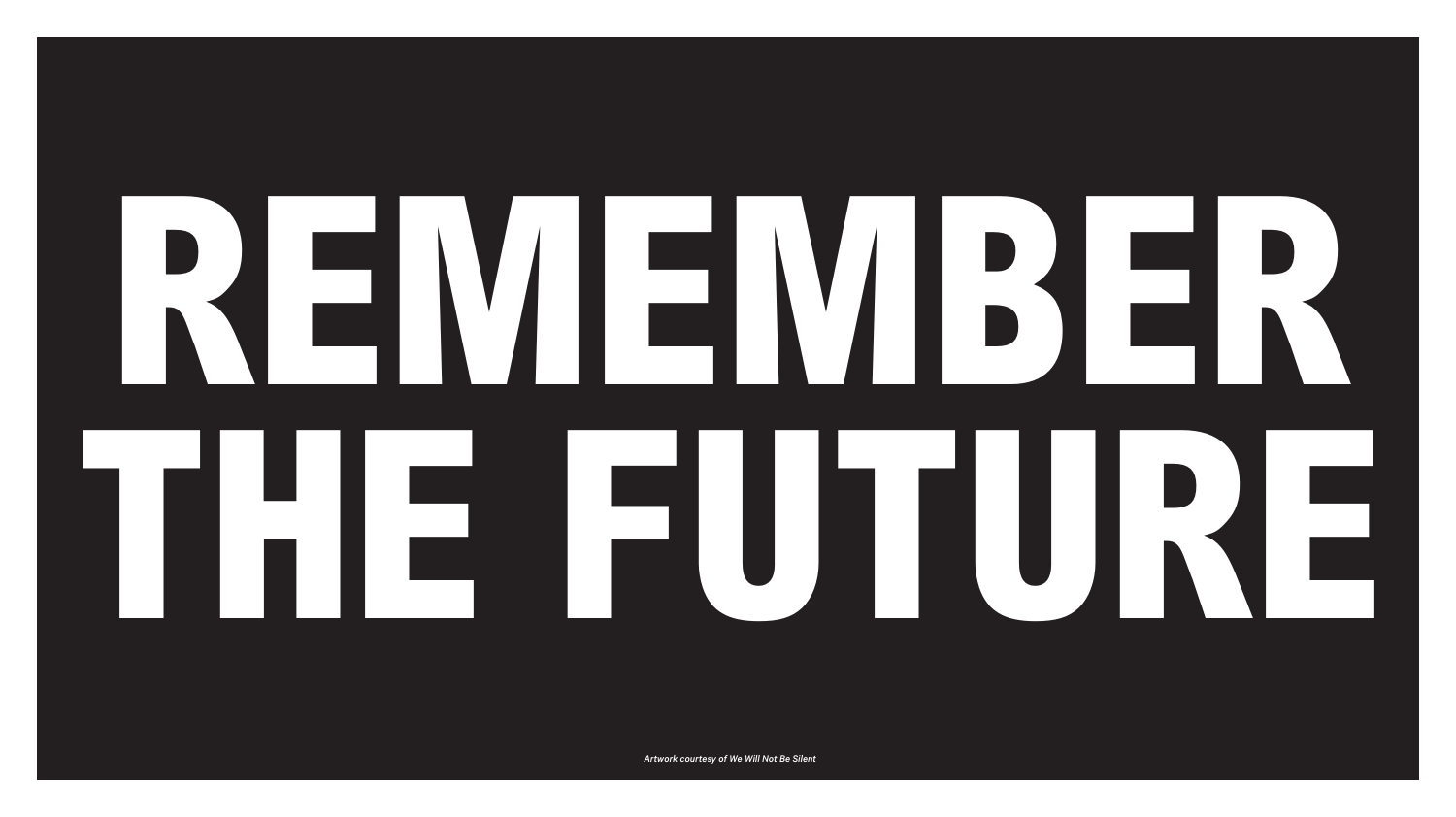

*Artwork courtesy of We Will Not Be Silent*

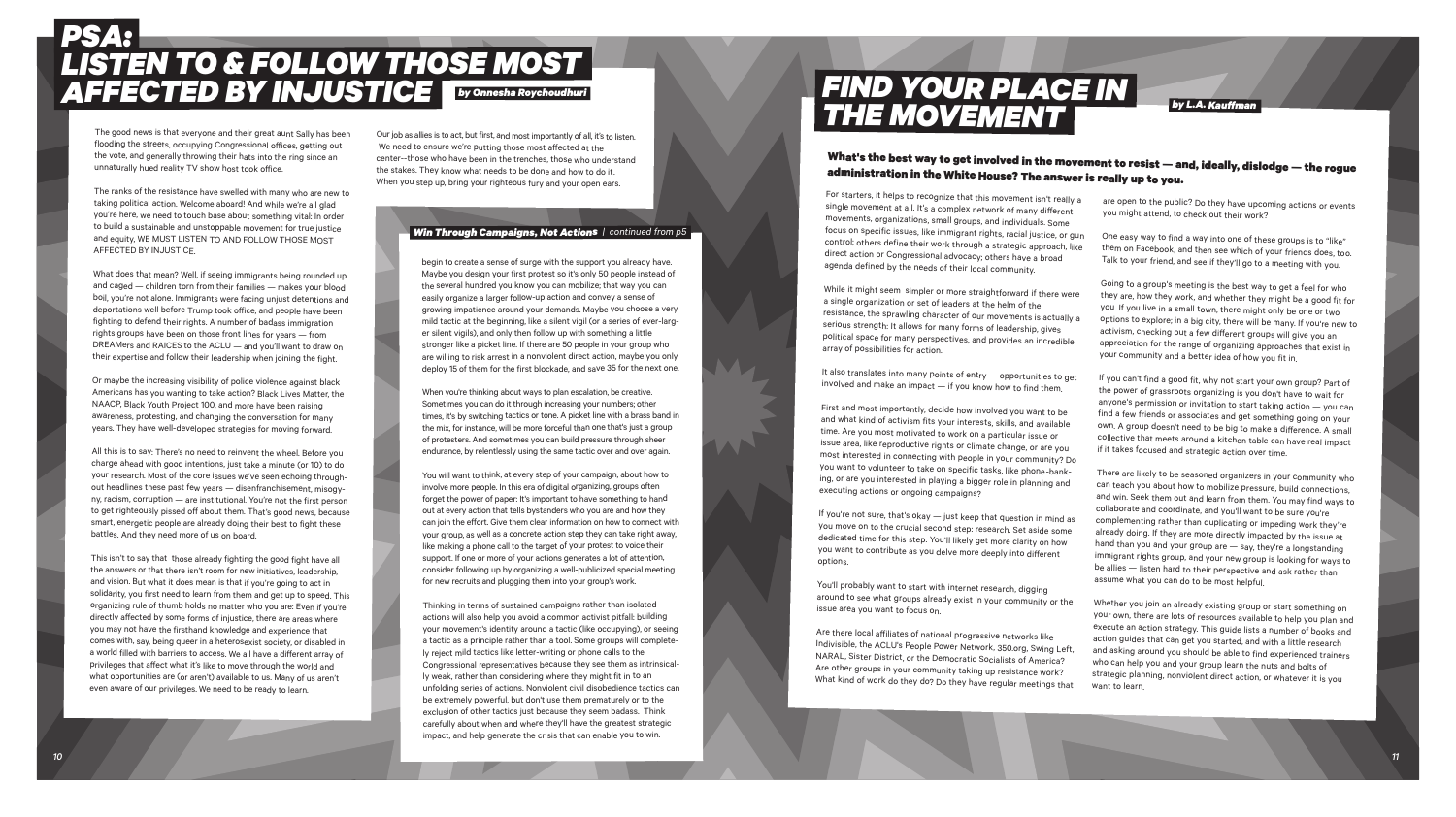The good news is that everyone and their great aunt Sally has been flooding the streets, occupying Congressional o<sup>f</sup>ices, getting out the vote, and generally throwing their hats into the ring since an unnaturally hued reality TV show host took ofice.

The ranks of the resistance have swelled with many who are new to taking political action. Welcome aboard! And while we're all glad you're here, we need to touch base about something vital: In order to build a sustainable and unstoppable movement for true justice and equity, WE MUST LISTEN TO AND FOLLOW THOSE MOST AFFECTED BY INJUSTICE.

What does that mean? Well, if seeing immigrants being rounded up and caged — children torn from their families — makes your blood boil, you're not alone. Immigrants were facing unjust detentions and deportations well before Trump took ofice, and people have been fighting to defend their rights. A number of badass immigration rights groups have been on those front lines for years — from DREAMers and RAICES to the ACLU — and you'll want to draw on their expertise and follow their leadership when joining the fight.

Or maybe the increasing visibility of police violence against black Americans has you wanting to take action? Black Lives Matter, the NAACP, Black Youth Project 100, and more have been raising awareness, protesting, and changing the conversation for many years. They have well-developed strategies for moving forward.

All this is to say: There's no need to reinvent the wheel. Before you charge ahead with good intentions, just take a minute (or 10) to do your research. Most of the core issues we've seen echoing throughout headlines these past few years — disenfranchisement, misogyny, racism, corruption — are institutional. You're not the first person to get righteously pissed off about them. That's good news, because smart, energetic people are already doing their best to fight these battles. And they need more of us on board.

This isn't to say that those already fighting the good fight have all the answers or that there isn't room for new initiatives, leadership, and vision. But what it does mean is that if you're going to act in solidarity, you first need to learn from them and get up to speed. This organizing rule of thumb holds no matter who you are: Even if you're directly affected by some forms of injustice, there are areas where you may not have the firsthand knowledge and experience that comes with, say, being queer in a heterosexist society, or disabled in a world filled with barriers to access. We all have a diferent array of privileges that afect what it's like to move through the world and what opportunities are (or aren't) available to us. Many of us aren't even aware of our privileges. We need to be ready to learn.

Our job as allies is to act, but first, and most importantly of all, it's to listen. We need to ensure we're putting those most affected at the center--those who have been in the trenches, those who understand the stakes. They know what needs to be done and how to do it. When you step up, bring your righteous fury and your open ears.



It also translates into many points of entry  $-$  opportunities to get involved and make an impact — if you know how to find them.

begin to create a sense of surge with the support you already have. Maybe you design your first protest so it's only 50 people instead of the several hundred you know you can mobilize; that way you can easily organize a larger follow-up action and convey a sense of growing impatience around your demands. Maybe you choose a very mild tactic at the beginning, like a silent vigil (or a series of ever-larger silent vigils), and only then follow up with something a little stronger like a picket line. If there are 50 people in your group who are willing to risk arrest in a nonviolent direct action, maybe you only deploy 15 of them for the first blockade, and save 35 for the next one.

> If you're not sure, that's okay  $-$  just keep that question in mind as you move on to the crucial second step: research. Set aside some dedicated time for this step. You'll likely get more clarity on how you want to contribute as you delve more deeply into di<sup>f</sup>erent

When you're thinking about ways to plan escalation, be creative. Sometimes you can do it through increasing your numbers; other times, it's by switching tactics or tone. A picket line with a brass band in the mix, for instance, will be more forceful than one that's just a group of protesters. And sometimes you can build pressure through sheer endurance, by relentlessly using the same tactic over and over again.

You will want to think, at every step of your campaign, about how to involve more people. In this era of digital organizing, groups often forget the power of paper: It's important to have something to hand out at every action that tells bystanders who you are and how they can join the effort. Give them clear information on how to connect with your group, as well as a concrete action step they can take right away, like making a phone call to the target of your protest to voice their support. If one or more of your actions generates a lot of attention, consider following up by organizing a well-publicized special meeting for new recruits and plugging them into your group's work.

Thinking in terms of sustained campaigns rather than isolated actions will also help you avoid a common activist pitfall: building your movement's identity around a tactic (like occupying), or seeing a tactic as a principle rather than a tool. Some groups will completely reject mild tactics like letter-writing or phone calls to the Congressional representatives because they see them as intrinsically weak, rather than considering where they might fit in to an unfolding series of actions. Nonviolent civil disobedience tactics can be extremely powerful, but don't use them prematurely or to the exclusion of other tactics just because they seem badass. Think carefully about when and where they'll have the greatest strategic impact, and help generate the crisis that can enable you to win.



### *Win Through Campaigns, Not Actions | continued from p5*

For starters, it helps to recognize that this movement isn't really a single movement at all. It's a complex network of many di<sup>f</sup>erent movements, organizations, small groups, and individuals. Some focus on specific issues, like immigrant rights, racial justice, or gun control; others define their work through a strategic approach, like direct action or Congressional advocacy; others have a broad agenda defined by the needs of their local community.

While it might seem simpler or more straightforward if there were a single organization or set of leaders at the helm of the resistance, the sprawling character of our movements is actually a serious strength: It allows for many forms of leadership, gives political space for many perspectives, and provides an incredible

array of possibilities for action.

First and most importantly, decide how involved you want to be and what kind of activism fits your interests, skills, and available time. Are you most motivated to work on a particular issue or issue area, like reproductive rights or climate change, or are you most interested in connecting with people in your community? Do you want to volunteer to take on specific tasks, like phone-banking, or are you interested in playing a bigger role in planning and executing actions or ongoing campaigns?

options.

You'll probably want to start with internet research, digging around to see what groups already exist in your community or the issue area you want to focus on.

Are there local a<sup>f</sup>iliates of national progressive networks like Indivisible, the ACLU's People Power Network, 350.org, Swing Left, NARAL, Sister District, or the Democratic Socialists of America? Are other groups in your community taking up resistance work? What kind of work do they do? Do they have regular meetings that

### What's the best way to get involved in the movement to resist — and, ideally, dislodge — the rogue administration in the White House? The answer is really up to you.

are open to the public? Do they have upcoming actions or events you might attend, to check out their work?

One easy way to find a way into one of these groups is to "like" them on Facebook, and then see which of your friends does, too. Talk to your friend, and see if they'll go to a meeting with you.

Going to a group's meeting is the best way to get a feel for who they are, how they work, and whether they might be a good fit for you. If you live in a small town, there might only be one or two options to explore; in a big city, there will be many. If you're new to activism, checking out a few diferent groups will give you an appreciation for the range of organizing approaches that exist in your community and a better idea of how you fit in.

If you can't find a good fit, why not start your own group? Part of the power of grassroots organizing is you don't have to wait for anyone's permission or invitation to start taking action — you can find a few friends or associates and get something going on your own. A group doesn't need to be big to make a di<sup>f</sup>erence. A small collective that meets around a kitchen table can have real impact if it takes focused and strategic action over time.

There are likely to be seasoned organizers in your community who can teach you about how to mobilize pressure, build connections, and win. Seek them out and learn from them. You may find ways to collaborate and coordinate, and you'll want to be sure you're complementing rather than duplicating or impeding work they're already doing. If they are more directly impacted by the issue at hand than you and your group are — say, they're a longstanding immigrant rights group, and your new group is looking for ways to be allies — listen hard to their perspective and ask rather than assume what you can do to be most helpful.

Whether you join an already existing group or start something on your own, there are lots of resources available to help you plan and execute an action strategy. This guide lists a number of books and action guides that can get you started, and with a little research and asking around you should be able to find experienced trainers who can help you and your group learn the nuts and bolts of strategic planning, nonviolent direct action, or whatever it is you want to learn.

# *FIND YOUR PLACE IN THE MOVEMENT*

*by L.A. Kauffma*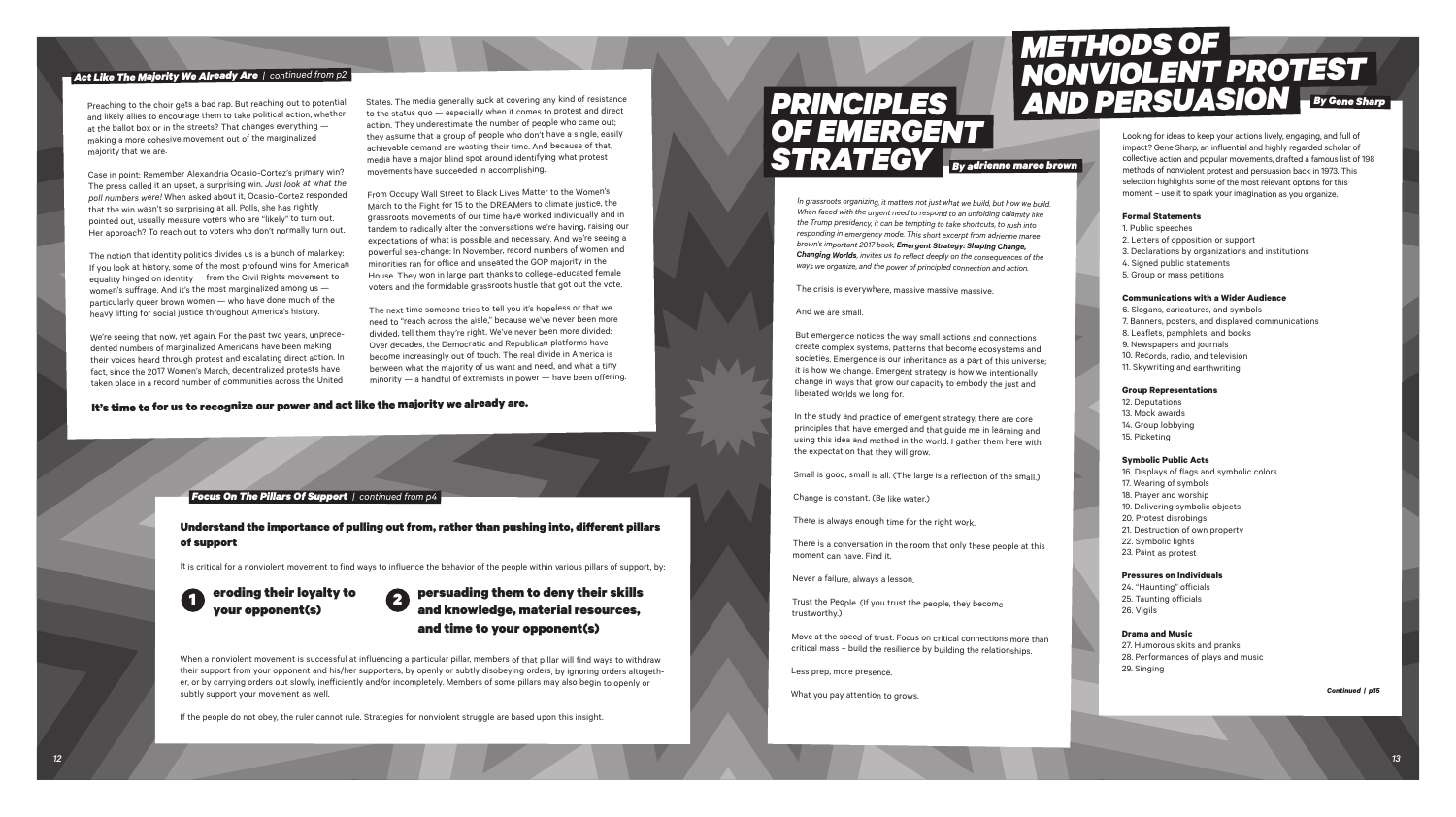Preaching to the choir gets a bad rap. But reaching out to potential and likely allies to encourage them to take political action, whether at the ballot box or in the streets? That changes everything making a more cohesive movement out of the marginalized majority that we are.

Case in point: Remember Alexandria Ocasio-Cortez's primary win? The press called it an upset, a surprising win. *Just look at what the poll numbers were!* When asked about it, Ocasio-Cortez responded that the win wasn't so surprising at all. Polls, she has rightly pointed out, usually measure voters who are "likely" to turn out. Her approach? To reach out to voters who don't normally turn out.

The notion that identity politics divides us is a bunch of malarkey: If you look at history, some of the most profound wins for American equality hinged on identity — from the Civil Rights movement to women's suffrage. And it's the most marginalized among us particularly queer brown women — who have done much of the heavy lifting for social justice throughout America's history.

The next time someone tries to tell you it's hopeless or that we need to "reach across the aisle," because we've never been more divided, tell them they're right. We've never been more divided: Over decades, the Democratic and Republican platforms have become increasingly out of touch. The real divide in America is between what the majority of us want and need, and what a tiny  $minority - a$  handful of extremists in power  $-$  have been offering.

We're seeing that now, yet again. For the past two years, unprecedented numbers of marginalized Americans have been making their voices heard through protest and escalating direct action. In fact, since the 2017 Women's March, decentralized protests have taken place in a record number of communities across the United

States. The media generally suck at covering any kind of resistance to the status quo — especially when it comes to protest and direct action. They underestimate the number of people who came out; they assume that a group of people who don't have a single, easily achievable demand are wasting their time. And because of that, media have a major blind spot around identifying what protest movements have succeeded in accomplishing.

From Occupy Wall Street to Black Lives Matter to the Women's March to the Fight for 15 to the DREAMers to climate justice, the grassroots movements of our time have worked individually and in tandem to radically alter the conversations we're having, raising our expectations of what is possible and necessary. And we're seeing a powerful sea-change: In November, record numbers of women and minorities ran for ofice and unseated the GOP majority in the House. They won in large part thanks to college-educated female voters and the formidable grassroots hustle that got out the vote.

### *Act Like The Majority We Already Are | continued from p2*

### It's time to for us to recognize our power and act like the majority we already are.

Understand the importance of pulling out from, rather than pushing into, diferent pillars of support

It is critical for a nonviolent movement to find ways to influence the behavior of the people within various pillars of support, by:

When a nonviolent movement is successful at influencing a particular pillar, members of that pillar will find ways to withdraw their support from your opponent and his/her supporters, by openly or subtly disobeying orders, by ignoring orders altogether, or by carrying orders out slowly, ineficiently and/or incompletely. Members of some pillars may also begin to openly or subtly support your movement as well.

If the people do not obey, the ruler cannot rule. Strategies for nonviolent struggle are based upon this insight.

### *Focus On The Pillars Of Support | continued from p4*

persuading them to deny their skills and knowledge, material resources, and time to your opponent(s)



# *PRINCIPLES OF EMERGENT*

*In grassroots organizing, it matters not just what we build, but how we build. When faced with the urgent need to respond to an unfolding calamity like the Trump presidency, it can be tempting to take shortcuts, to rush into responding in emergency mode. This short excerpt from adrienne maree brown's important 2017 book, Emergent Strategy: Shaping Change, Changing Worlds, invites us to reflect deeply on the consequences of the ways we organize, and the power of principled connection and action.*

The crisis is everywhere, massive massive massive.

And we are small.

But emergence notices the way small actions and connections create complex systems, patterns that become ecosystems and societies. Emergence is our inheritance as a part of this universe; it is how we change. Emergent strategy is how we intentionally change in ways that grow our capacity to embody the just and liberated worlds we long for.

*STRATEGY By adrienne maree brown*

In the study and practice of emergent strategy, there are core principles that have emerged and that guide me in learning and using this idea and method in the world. I gather them here with the expectation that they will grow.

Small is good, small is all. (The large is a reflection of the small.)

Change is constant. (Be like water.)

There is always enough time for the right work.

There is a conversation in the room that only these people at this moment can have. Find it.

Never a failure, always a lesson.

Trust the People. (If you trust the people, they become

trustworthy.)

Move at the speed of trust. Focus on critical connections more than critical mass – build the resilience by building the relationships.

Less prep, more presence.

What you pay attention to grows.

Looking for ideas to keep your actions lively, engaging, and full of impact? Gene Sharp, an influential and highly regarded scholar of collective action and popular movements, drafted a famous list of 198 methods of nonviolent protest and persuasion back in 1973. This selection highlights some of the most relevant options for this moment – use it to spark your imagination as you organize.

### **Formal Statements**

- 1. Public speeches
- 2. Letters of opposition or support
- 3. Declarations by organizations and institutions
- 4. Signed public statements
- 5. Group or mass petitions

### **Communications with a Wider Audience**

- 6. Slogans, caricatures, and symbols
- 7. Banners, posters, and displayed communications
- 8. Leaflets, pamphlets, and books
- 9. Newspapers and journals
- 10. Records, radio, and television
- 11. Skywriting and earthwriting

### **Group Representations**

- 12. Deputations
- 13. Mock awards
- 14. Group lobbying
- 15. Picketing

### **Symbolic Public Acts**

- 16. Displays of flags and symbolic colors
- 17. Wearing of symbols
- 18. Prayer and worship
- 19. Delivering symbolic objects
- 20. Protest disrobings
- 21. Destruction of own property
- 22. Symbolic lights
- 23. Paint as protest

### **Pressures on Individuals**

- 24. "Haunting" oficials
- 25. Taunting oficials
- 26. Vigils

### **Drama and Music**

27. Humorous skits and pranks 28. Performances of plays and music 29. Singing

*By Gene Sharp METHODS OF NONVIOLENT PROTEST AND PERSUASION*

*Continued | p15*